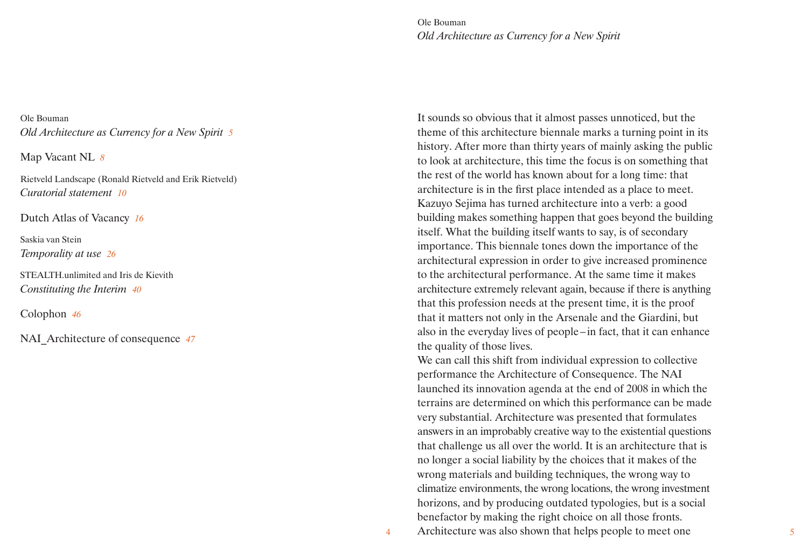Ole Bouman *Old Architecture as Currency for a New Spirit*

Ole Bouman *Old Architecture as Currency for a New Spirit 5*

Map Vacant NL *8*

Rietveld Landscape (Ronald Rietveld and Erik Rietveld) *Curatorial statement 10*

Dutch Atlas of Vacancy *16*

Saskia van Stein *Temporality at use 26*

STEALTH.unlimited and Iris de Kievith *Constituting the Interim 40*

Colophon *46*

NAI\_Architecture of consequence *47*

It sounds so obvious that it almost passes unnoticed, but the theme of this architecture biennale marks a turning point in its history. After more than thirty years of mainly asking the public to look at architecture, this time the focus is on something that the rest of the world has known about for a long time: that architecture is in the first place intended as a place to meet. Kazuyo Sejima has turned architecture into a verb: a good building makes something happen that goes beyond the building itself. What the building itself wants to say, is of secondary importance. This biennale tones down the importance of the architectural expression in order to give increased prominence to the architectural performance. At the same time it makes architecture extremely relevant again, because if there is anything that this profession needs at the present time, it is the proof that it matters not only in the Arsenale and the Giardini, but also in the everyday lives of people – in fact, that it can enhance the quality of those lives.

We can call this shift from individual expression to collective performance the Architecture of Consequence. The NAI launched its innovation agenda at the end of 2008 in which the terrains are determined on which this performance can be made very substantial. Architecture was presented that formulates answers in an improbably creative way to the existential questions that challenge us all over the world. It is an architecture that is no longer a social liability by the choices that it makes of the wrong materials and building techniques, the wrong way to climatize environments, the wrong locations, the wrong investment horizons, and by producing outdated typologies, but is a social benefactor by making the right choice on all those fronts. 4 Architecture was also shown that helps people to meet one